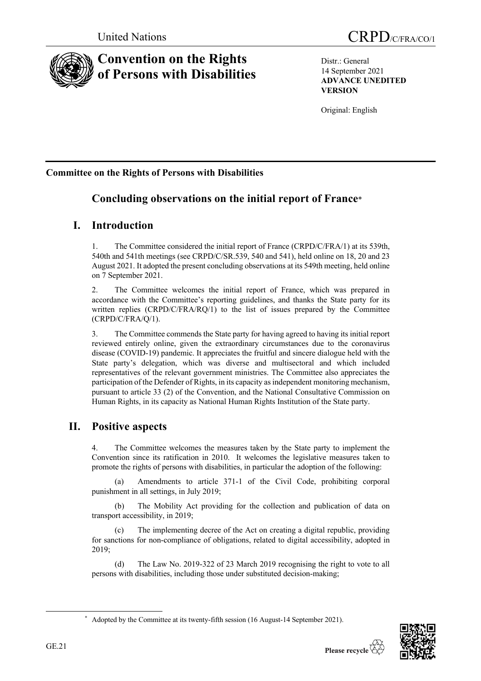

# **Convention on the Rights of Persons with Disabilities**

Distr.: General 14 September 2021 **ADVANCE UNEDITED VERSION**

Original: English

## **Committee on the Rights of Persons with Disabilities**

## **Concluding observations on the initial report of France**\*

## **I. Introduction**

1. The Committee considered the initial report of France (CRPD/C/FRA/1) at its 539th, 540th and 541th meetings (see CRPD/C/SR.539, 540 and 541), held online on 18, 20 and 23 August 2021. It adopted the present concluding observations at its 549th meeting, held online on 7 September 2021.

2. The Committee welcomes the initial report of France, which was prepared in accordance with the Committee's reporting guidelines, and thanks the State party for its written replies (CRPD/C/FRA/RQ/1) to the list of issues prepared by the Committee (CRPD/C/FRA/Q/1).

3. The Committee commends the State party for having agreed to having its initial report reviewed entirely online, given the extraordinary circumstances due to the coronavirus disease (COVID-19) pandemic. It appreciates the fruitful and sincere dialogue held with the State party's delegation, which was diverse and multisectoral and which included representatives of the relevant government ministries. The Committee also appreciates the participation of the Defender of Rights, in its capacity as independent monitoring mechanism, pursuant to article 33 (2) of the Convention, and the National Consultative Commission on Human Rights, in its capacity as National Human Rights Institution of the State party.

## **II. Positive aspects**

The Committee welcomes the measures taken by the State party to implement the Convention since its ratification in 2010. It welcomes the legislative measures taken to promote the rights of persons with disabilities, in particular the adoption of the following:

(a) Amendments to article 371-1 of the Civil Code, prohibiting corporal punishment in all settings, in July 2019;

(b) The Mobility Act providing for the collection and publication of data on transport accessibility, in 2019;

(c) The implementing decree of the Act on creating a digital republic, providing for sanctions for non-compliance of obligations, related to digital accessibility, adopted in 2019;

(d) The Law No. 2019-322 of 23 March 2019 recognising the right to vote to all persons with disabilities, including those under substituted decision-making;



<sup>\*</sup> Adopted by the Committee at its twenty-fifth session (16 August-14 September 2021).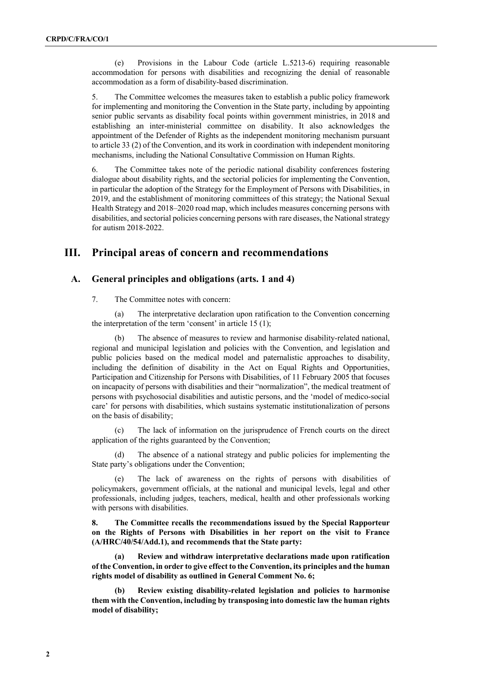(e) Provisions in the Labour Code (article L.5213-6) requiring reasonable accommodation for persons with disabilities and recognizing the denial of reasonable accommodation as a form of disability-based discrimination.

5. The Committee welcomes the measures taken to establish a public policy framework for implementing and monitoring the Convention in the State party, including by appointing senior public servants as disability focal points within government ministries, in 2018 and establishing an inter-ministerial committee on disability. It also acknowledges the appointment of the Defender of Rights as the independent monitoring mechanism pursuant to article 33 (2) of the Convention, and its work in coordination with independent monitoring mechanisms, including the National Consultative Commission on Human Rights.

6. The Committee takes note of the periodic national disability conferences fostering dialogue about disability rights, and the sectorial policies for implementing the Convention, in particular the adoption of the Strategy for the Employment of Persons with Disabilities, in 2019, and the establishment of monitoring committees of this strategy; the National Sexual Health Strategy and 2018–2020 road map, which includes measures concerning persons with disabilities, and sectorial policies concerning persons with rare diseases, the National strategy for autism 2018-2022.

### **III. Principal areas of concern and recommendations**

### **A. General principles and obligations (arts. 1 and 4)**

7. The Committee notes with concern:

(a) The interpretative declaration upon ratification to the Convention concerning the interpretation of the term 'consent' in article 15 (1);

The absence of measures to review and harmonise disability-related national, regional and municipal legislation and policies with the Convention, and legislation and public policies based on the medical model and paternalistic approaches to disability, including the definition of disability in the Act on Equal Rights and Opportunities, Participation and Citizenship for Persons with Disabilities, of 11 February 2005 that focuses on incapacity of persons with disabilities and their "normalization", the medical treatment of persons with psychosocial disabilities and autistic persons, and the 'model of medico-social care' for persons with disabilities, which sustains systematic institutionalization of persons on the basis of disability;

(c) The lack of information on the jurisprudence of French courts on the direct application of the rights guaranteed by the Convention;

(d) The absence of a national strategy and public policies for implementing the State party's obligations under the Convention;

The lack of awareness on the rights of persons with disabilities of policymakers, government officials, at the national and municipal levels, legal and other professionals, including judges, teachers, medical, health and other professionals working with persons with disabilities.

**8. The Committee recalls the recommendations issued by the Special Rapporteur on the Rights of Persons with Disabilities in her report on the visit to France (A/HRC/40/54/Add.1), and recommends that the State party:**

**(a) Review and withdraw interpretative declarations made upon ratification of the Convention, in order to give effect to the Convention, its principles and the human rights model of disability as outlined in General Comment No. 6;**

**(b) Review existing disability-related legislation and policies to harmonise them with the Convention, including by transposing into domestic law the human rights model of disability;**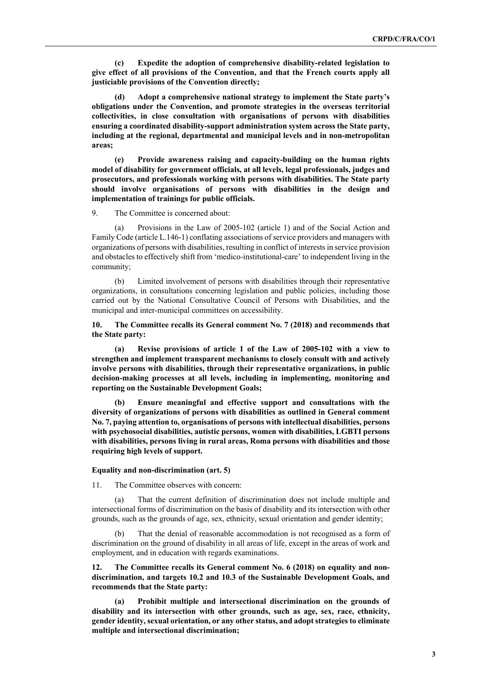**(c) Expedite the adoption of comprehensive disability-related legislation to give effect of all provisions of the Convention, and that the French courts apply all justiciable provisions of the Convention directly;**

**(d) Adopt a comprehensive national strategy to implement the State party's obligations under the Convention, and promote strategies in the overseas territorial collectivities, in close consultation with organisations of persons with disabilities ensuring a coordinated disability-support administration system across the State party, including at the regional, departmental and municipal levels and in non-metropolitan areas;**

**(e) Provide awareness raising and capacity-building on the human rights model of disability for government officials, at all levels, legal professionals, judges and prosecutors, and professionals working with persons with disabilities. The State party should involve organisations of persons with disabilities in the design and implementation of trainings for public officials.** 

9. The Committee is concerned about:

(a) Provisions in the Law of 2005-102 (article 1) and of the Social Action and Family Code (article L.146-1) conflating associations of service providers and managers with organizations of persons with disabilities, resulting in conflict of interests in service provision and obstacles to effectively shift from 'medico-institutional-care' to independent living in the community;

(b) Limited involvement of persons with disabilities through their representative organizations, in consultations concerning legislation and public policies, including those carried out by the National Consultative Council of Persons with Disabilities, and the municipal and inter-municipal committees on accessibility.

**10. The Committee recalls its General comment No. 7 (2018) and recommends that the State party:**

**(a) Revise provisions of article 1 of the Law of 2005-102 with a view to strengthen and implement transparent mechanisms to closely consult with and actively involve persons with disabilities, through their representative organizations, in public decision-making processes at all levels, including in implementing, monitoring and reporting on the Sustainable Development Goals;**

**(b) Ensure meaningful and effective support and consultations with the diversity of organizations of persons with disabilities as outlined in General comment No. 7, paying attention to, organisations of persons with intellectual disabilities, persons with psychosocial disabilities, autistic persons, women with disabilities, LGBTI persons with disabilities, persons living in rural areas, Roma persons with disabilities and those requiring high levels of support.**

#### **Equality and non-discrimination (art. 5)**

11. The Committee observes with concern:

(a) That the current definition of discrimination does not include multiple and intersectional forms of discrimination on the basis of disability and its intersection with other grounds, such as the grounds of age, sex, ethnicity, sexual orientation and gender identity;

That the denial of reasonable accommodation is not recognised as a form of discrimination on the ground of disability in all areas of life, except in the areas of work and employment, and in education with regards examinations.

**12. The Committee recalls its General comment No. 6 (2018) on equality and nondiscrimination, and targets 10.2 and 10.3 of the Sustainable Development Goals, and recommends that the State party:** 

**(a) Prohibit multiple and intersectional discrimination on the grounds of disability and its intersection with other grounds, such as age, sex, race, ethnicity,**  gender identity, sexual orientation, or any other status, and adopt strategies to eliminate **multiple and intersectional discrimination;**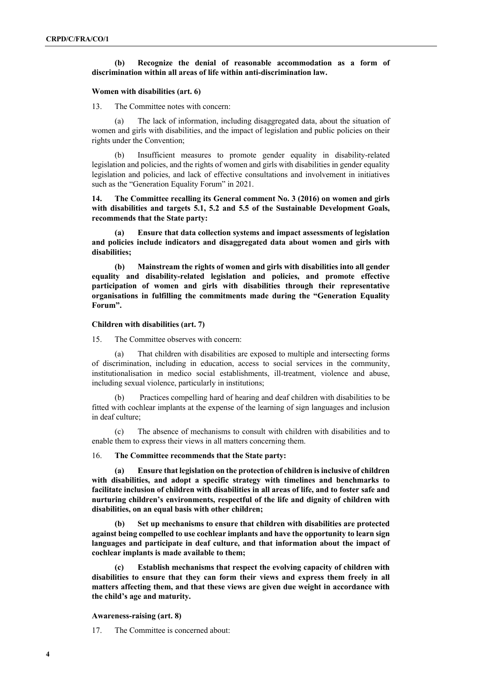#### **(b) Recognize the denial of reasonable accommodation as a form of discrimination within all areas of life within anti-discrimination law.**

#### **Women with disabilities (art. 6)**

13. The Committee notes with concern:

(a) The lack of information, including disaggregated data, about the situation of women and girls with disabilities, and the impact of legislation and public policies on their rights under the Convention;

(b) Insufficient measures to promote gender equality in disability-related legislation and policies, and the rights of women and girls with disabilities in gender equality legislation and policies, and lack of effective consultations and involvement in initiatives such as the "Generation Equality Forum" in 2021.

**14. The Committee recalling its General comment No. 3 (2016) on women and girls with disabilities and targets 5.1, 5.2 and 5.5 of the Sustainable Development Goals, recommends that the State party:**

**(a) Ensure that data collection systems and impact assessments of legislation and policies include indicators and disaggregated data about women and girls with disabilities;**

**(b) Mainstream the rights of women and girls with disabilities into all gender equality and disability-related legislation and policies, and promote effective participation of women and girls with disabilities through their representative organisations in fulfilling the commitments made during the "Generation Equality Forum".**

#### **Children with disabilities (art. 7)**

15. The Committee observes with concern:

(a) That children with disabilities are exposed to multiple and intersecting forms of discrimination, including in education, access to social services in the community, institutionalisation in medico social establishments, ill-treatment, violence and abuse, including sexual violence, particularly in institutions;

Practices compelling hard of hearing and deaf children with disabilities to be fitted with cochlear implants at the expense of the learning of sign languages and inclusion in deaf culture;

(c) The absence of mechanisms to consult with children with disabilities and to enable them to express their views in all matters concerning them.

16. **The Committee recommends that the State party:**

**(a) Ensure that legislation on the protection of children is inclusive of children with disabilities, and adopt a specific strategy with timelines and benchmarks to facilitate inclusion of children with disabilities in all areas of life, and to foster safe and nurturing children's environments, respectful of the life and dignity of children with disabilities, on an equal basis with other children;**

**(b) Set up mechanisms to ensure that children with disabilities are protected against being compelled to use cochlear implants and have the opportunity to learn sign languages and participate in deaf culture, and that information about the impact of cochlear implants is made available to them;** 

**(c) Establish mechanisms that respect the evolving capacity of children with disabilities to ensure that they can form their views and express them freely in all matters affecting them, and that these views are given due weight in accordance with the child's age and maturity.**

**Awareness-raising (art. 8)**

17. The Committee is concerned about: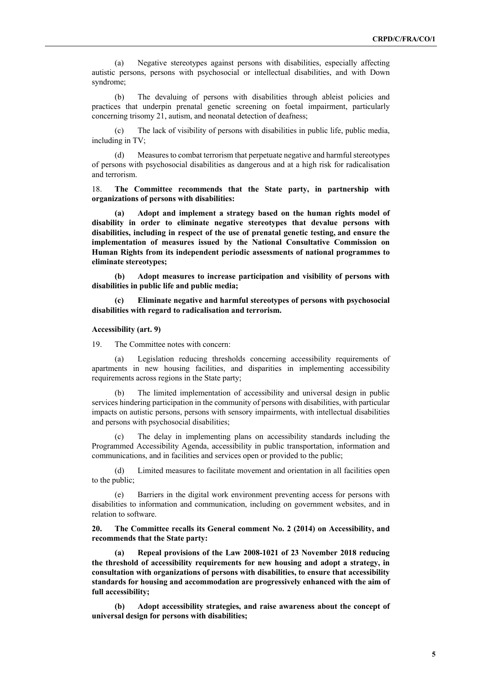(a) Negative stereotypes against persons with disabilities, especially affecting autistic persons, persons with psychosocial or intellectual disabilities, and with Down syndrome;

(b) The devaluing of persons with disabilities through ableist policies and practices that underpin prenatal genetic screening on foetal impairment, particularly concerning trisomy 21, autism, and neonatal detection of deafness;

(c) The lack of visibility of persons with disabilities in public life, public media, including in TV;

(d) Measures to combat terrorism that perpetuate negative and harmful stereotypes of persons with psychosocial disabilities as dangerous and at a high risk for radicalisation and terrorism.

18. **The Committee recommends that the State party, in partnership with organizations of persons with disabilities:**

**(a) Adopt and implement a strategy based on the human rights model of disability in order to eliminate negative stereotypes that devalue persons with disabilities, including in respect of the use of prenatal genetic testing, and ensure the implementation of measures issued by the National Consultative Commission on Human Rights from its independent periodic assessments of national programmes to eliminate stereotypes;** 

**(b) Adopt measures to increase participation and visibility of persons with disabilities in public life and public media;** 

**(c) Eliminate negative and harmful stereotypes of persons with psychosocial disabilities with regard to radicalisation and terrorism.**

#### **Accessibility (art. 9)**

19. The Committee notes with concern:

(a) Legislation reducing thresholds concerning accessibility requirements of apartments in new housing facilities, and disparities in implementing accessibility requirements across regions in the State party;

(b) The limited implementation of accessibility and universal design in public services hindering participation in the community of persons with disabilities, with particular impacts on autistic persons, persons with sensory impairments, with intellectual disabilities and persons with psychosocial disabilities;

(c) The delay in implementing plans on accessibility standards including the Programmed Accessibility Agenda, accessibility in public transportation, information and communications, and in facilities and services open or provided to the public;

(d) Limited measures to facilitate movement and orientation in all facilities open to the public;

(e) Barriers in the digital work environment preventing access for persons with disabilities to information and communication, including on government websites, and in relation to software.

**20. The Committee recalls its General comment No. 2 (2014) on Accessibility, and recommends that the State party:**

**(a) Repeal provisions of the Law 2008-1021 of 23 November 2018 reducing the threshold of accessibility requirements for new housing and adopt a strategy, in consultation with organizations of persons with disabilities, to ensure that accessibility standards for housing and accommodation are progressively enhanced with the aim of full accessibility;** 

**(b) Adopt accessibility strategies, and raise awareness about the concept of universal design for persons with disabilities;**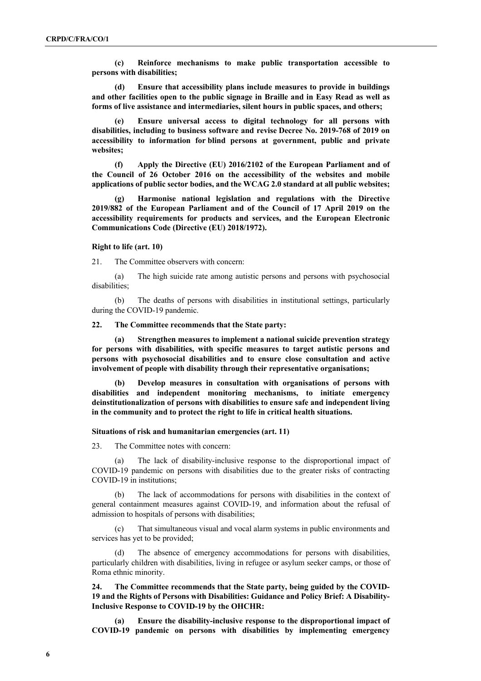**(c) Reinforce mechanisms to make public transportation accessible to persons with disabilities;**

**(d) Ensure that accessibility plans include measures to provide in buildings and other facilities open to the public signage in Braille and in Easy Read as well as forms of live assistance and intermediaries, silent hours in public spaces, and others;** 

**(e) Ensure universal access to digital technology for all persons with disabilities, including to business software and revise Decree No. 2019-768 of 2019 on accessibility to information for blind persons at government, public and private websites;**

**(f) Apply the Directive (EU) 2016/2102 of the European Parliament and of the Council of 26 October 2016 on the accessibility of the websites and mobile applications of public sector bodies, and the WCAG 2.0 standard at all public websites;**

**(g) Harmonise national legislation and regulations with the Directive 2019/882 of the European Parliament and of the Council of 17 April 2019 on the accessibility requirements for products and services, and the European Electronic Communications Code (Directive (EU) 2018/1972).**

#### **Right to life (art. 10)**

21. The Committee observers with concern:

(a) The high suicide rate among autistic persons and persons with psychosocial disabilities;

(b) The deaths of persons with disabilities in institutional settings, particularly during the COVID-19 pandemic.

#### **22. The Committee recommends that the State party:**

**(a) Strengthen measures to implement a national suicide prevention strategy for persons with disabilities, with specific measures to target autistic persons and persons with psychosocial disabilities and to ensure close consultation and active involvement of people with disability through their representative organisations;** 

**(b) Develop measures in consultation with organisations of persons with disabilities and independent monitoring mechanisms, to initiate emergency deinstitutionalization of persons with disabilities to ensure safe and independent living in the community and to protect the right to life in critical health situations.** 

#### **Situations of risk and humanitarian emergencies (art. 11)**

23. The Committee notes with concern:

(a) The lack of disability-inclusive response to the disproportional impact of COVID-19 pandemic on persons with disabilities due to the greater risks of contracting COVID-19 in institutions;

(b) The lack of accommodations for persons with disabilities in the context of general containment measures against COVID-19, and information about the refusal of admission to hospitals of persons with disabilities;

(c) That simultaneous visual and vocal alarm systems in public environments and services has yet to be provided;

(d) The absence of emergency accommodations for persons with disabilities, particularly children with disabilities, living in refugee or asylum seeker camps, or those of Roma ethnic minority.

**24. The Committee recommends that the State party, being guided by the COVID-19 and the Rights of Persons with Disabilities: Guidance and Policy Brief: A Disability-Inclusive Response to COVID-19 by the OHCHR:**

**(a) Ensure the disability-inclusive response to the disproportional impact of COVID-19 pandemic on persons with disabilities by implementing emergency**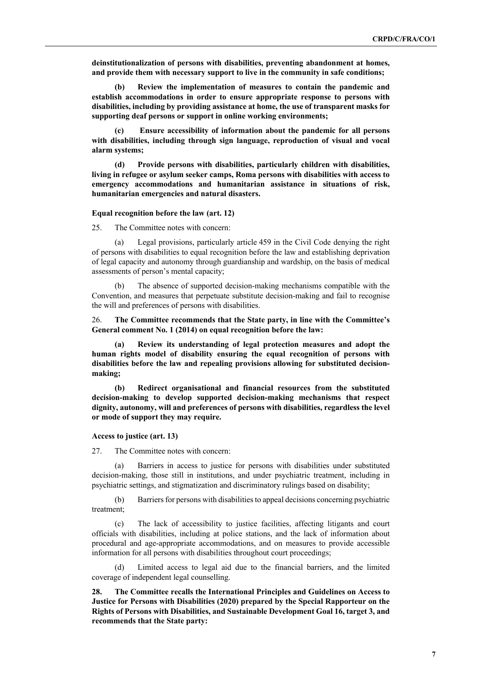**deinstitutionalization of persons with disabilities, preventing abandonment at homes, and provide them with necessary support to live in the community in safe conditions;**

**(b) Review the implementation of measures to contain the pandemic and establish accommodations in order to ensure appropriate response to persons with disabilities, including by providing assistance at home, the use of transparent masks for supporting deaf persons or support in online working environments;** 

**(c) Ensure accessibility of information about the pandemic for all persons with disabilities, including through sign language, reproduction of visual and vocal alarm systems;** 

**(d) Provide persons with disabilities, particularly children with disabilities, living in refugee or asylum seeker camps, Roma persons with disabilities with access to emergency accommodations and humanitarian assistance in situations of risk, humanitarian emergencies and natural disasters.**

#### **Equal recognition before the law (art. 12)**

25. The Committee notes with concern:

(a) Legal provisions, particularly article 459 in the Civil Code denying the right of persons with disabilities to equal recognition before the law and establishing deprivation of legal capacity and autonomy through guardianship and wardship, on the basis of medical assessments of person's mental capacity;

(b) The absence of supported decision-making mechanisms compatible with the Convention, and measures that perpetuate substitute decision-making and fail to recognise the will and preferences of persons with disabilities.

26. **The Committee recommends that the State party, in line with the Committee's General comment No. 1 (2014) on equal recognition before the law:**

**(a) Review its understanding of legal protection measures and adopt the human rights model of disability ensuring the equal recognition of persons with disabilities before the law and repealing provisions allowing for substituted decisionmaking;**

**(b) Redirect organisational and financial resources from the substituted decision-making to develop supported decision-making mechanisms that respect dignity, autonomy, will and preferences of persons with disabilities, regardless the level or mode of support they may require.**

#### **Access to justice (art. 13)**

27. The Committee notes with concern:

(a) Barriers in access to justice for persons with disabilities under substituted decision-making, those still in institutions, and under psychiatric treatment, including in psychiatric settings, and stigmatization and discriminatory rulings based on disability;

(b) Barriers for persons with disabilities to appeal decisions concerning psychiatric treatment;

(c) The lack of accessibility to justice facilities, affecting litigants and court officials with disabilities, including at police stations, and the lack of information about procedural and age-appropriate accommodations, and on measures to provide accessible information for all persons with disabilities throughout court proceedings;

(d) Limited access to legal aid due to the financial barriers, and the limited coverage of independent legal counselling.

**28. The Committee recalls the International Principles and Guidelines on Access to Justice for Persons with Disabilities (2020) prepared by the Special Rapporteur on the Rights of Persons with Disabilities, and Sustainable Development Goal 16, target 3, and recommends that the State party:**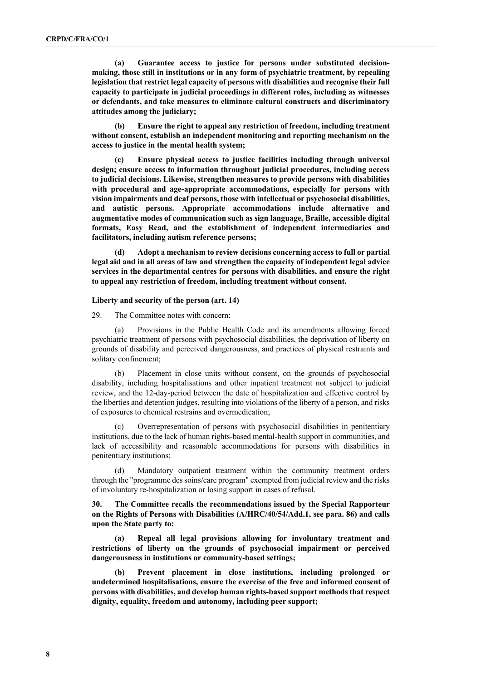**(a) Guarantee access to justice for persons under substituted decisionmaking, those still in institutions or in any form of psychiatric treatment, by repealing legislation that restrict legal capacity of persons with disabilities and recognise their full capacity to participate in judicial proceedings in different roles, including as witnesses or defendants, and take measures to eliminate cultural constructs and discriminatory attitudes among the judiciary;** 

**(b) Ensure the right to appeal any restriction of freedom, including treatment without consent, establish an independent monitoring and reporting mechanism on the access to justice in the mental health system;**

**(c) Ensure physical access to justice facilities including through universal design; ensure access to information throughout judicial procedures, including access to judicial decisions. Likewise, strengthen measures to provide persons with disabilities with procedural and age-appropriate accommodations, especially for persons with vision impairments and deaf persons, those with intellectual or psychosocial disabilities, and autistic persons. Appropriate accommodations include alternative and augmentative modes of communication such as sign language, Braille, accessible digital formats, Easy Read, and the establishment of independent intermediaries and facilitators, including autism reference persons;**

**(d) Adopt a mechanism to review decisions concerning access to full or partial legal aid and in all areas of law and strengthen the capacity of independent legal advice services in the departmental centres for persons with disabilities, and ensure the right to appeal any restriction of freedom, including treatment without consent.**

#### **Liberty and security of the person (art. 14)**

29. The Committee notes with concern:

(a) Provisions in the Public Health Code and its amendments allowing forced psychiatric treatment of persons with psychosocial disabilities, the deprivation of liberty on grounds of disability and perceived dangerousness, and practices of physical restraints and solitary confinement;

(b) Placement in close units without consent, on the grounds of psychosocial disability, including hospitalisations and other inpatient treatment not subject to judicial review, and the 12-day-period between the date of hospitalization and effective control by the liberties and detention judges, resulting into violations of the liberty of a person, and risks of exposures to chemical restrains and overmedication;

(c) Overrepresentation of persons with psychosocial disabilities in penitentiary institutions, due to the lack of human rights-based mental-health support in communities, and lack of accessibility and reasonable accommodations for persons with disabilities in penitentiary institutions;

(d) Mandatory outpatient treatment within the community treatment orders through the "programme des soins/care program" exempted from judicial review and the risks of involuntary re-hospitalization or losing support in cases of refusal.

**30. The Committee recalls the recommendations issued by the Special Rapporteur on the Rights of Persons with Disabilities (A/HRC/40/54/Add.1, see para. 86) and calls upon the State party to:**

**(a) Repeal all legal provisions allowing for involuntary treatment and restrictions of liberty on the grounds of psychosocial impairment or perceived dangerousness in institutions or community-based settings;**

**(b) Prevent placement in close institutions, including prolonged or undetermined hospitalisations, ensure the exercise of the free and informed consent of persons with disabilities, and develop human rights-based support methods that respect dignity, equality, freedom and autonomy, including peer support;**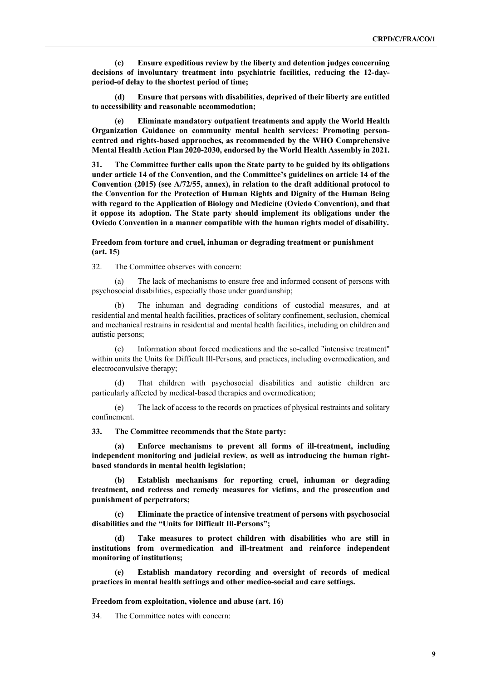**(c) Ensure expeditious review by the liberty and detention judges concerning decisions of involuntary treatment into psychiatric facilities, reducing the 12-dayperiod-of delay to the shortest period of time;**

**(d) Ensure that persons with disabilities, deprived of their liberty are entitled to accessibility and reasonable accommodation;** 

**(e) Eliminate mandatory outpatient treatments and apply the World Health Organization Guidance on community mental health services: Promoting personcentred and rights-based approaches, as recommended by the WHO Comprehensive Mental Health Action Plan 2020-2030, endorsed by the World Health Assembly in 2021.**

**31. The Committee further calls upon the State party to be guided by its obligations under article 14 of the Convention, and the Committee's guidelines on article 14 of the Convention (2015) (see A/72/55, annex), in relation to the draft additional protocol to the Convention for the Protection of Human Rights and Dignity of the Human Being with regard to the Application of Biology and Medicine (Oviedo Convention), and that it oppose its adoption. The State party should implement its obligations under the Oviedo Convention in a manner compatible with the human rights model of disability.** 

#### **Freedom from torture and cruel, inhuman or degrading treatment or punishment (art. 15)**

32. The Committee observes with concern:

(a) The lack of mechanisms to ensure free and informed consent of persons with psychosocial disabilities, especially those under guardianship;

The inhuman and degrading conditions of custodial measures, and at residential and mental health facilities, practices of solitary confinement, seclusion, chemical and mechanical restrains in residential and mental health facilities, including on children and autistic persons;

(c) Information about forced medications and the so-called "intensive treatment" within units the Units for Difficult Ill-Persons, and practices, including overmedication, and electroconvulsive therapy;

That children with psychosocial disabilities and autistic children are particularly affected by medical-based therapies and overmedication;

(e) The lack of access to the records on practices of physical restraints and solitary confinement.

**33. The Committee recommends that the State party:**

**(a) Enforce mechanisms to prevent all forms of ill-treatment, including independent monitoring and judicial review, as well as introducing the human rightbased standards in mental health legislation;**

**(b) Establish mechanisms for reporting cruel, inhuman or degrading treatment, and redress and remedy measures for victims, and the prosecution and punishment of perpetrators;**

**(c) Eliminate the practice of intensive treatment of persons with psychosocial disabilities and the "Units for Difficult Ill-Persons";**

**(d) Take measures to protect children with disabilities who are still in institutions from overmedication and ill-treatment and reinforce independent monitoring of institutions;**

**(e) Establish mandatory recording and oversight of records of medical practices in mental health settings and other medico-social and care settings.**

**Freedom from exploitation, violence and abuse (art. 16)**

34. The Committee notes with concern: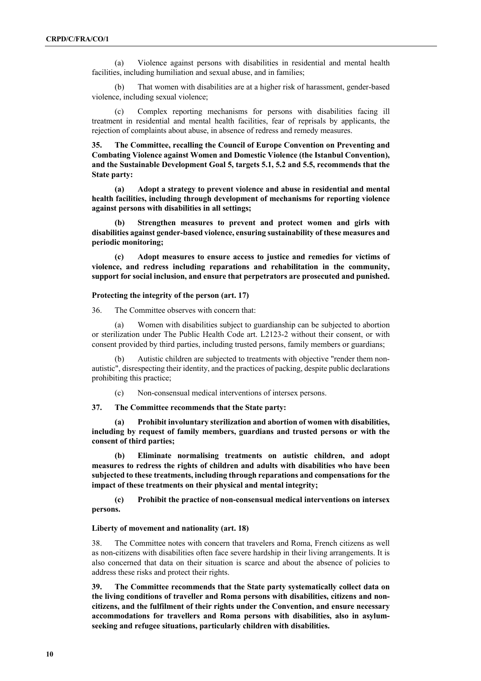(a) Violence against persons with disabilities in residential and mental health facilities, including humiliation and sexual abuse, and in families;

(b) That women with disabilities are at a higher risk of harassment, gender-based violence, including sexual violence;

(c) Complex reporting mechanisms for persons with disabilities facing ill treatment in residential and mental health facilities, fear of reprisals by applicants, the rejection of complaints about abuse, in absence of redress and remedy measures.

**35. The Committee, recalling the Council of Europe Convention on Preventing and Combating Violence against Women and Domestic Violence (the Istanbul Convention), and the Sustainable Development Goal 5, targets 5.1, 5.2 and 5.5, recommends that the State party:**

**(a) Adopt a strategy to prevent violence and abuse in residential and mental health facilities, including through development of mechanisms for reporting violence against persons with disabilities in all settings;**

**(b) Strengthen measures to prevent and protect women and girls with disabilities against gender-based violence, ensuring sustainability of these measures and periodic monitoring;**

**(c) Adopt measures to ensure access to justice and remedies for victims of violence, and redress including reparations and rehabilitation in the community, support for social inclusion, and ensure that perpetrators are prosecuted and punished.**

#### **Protecting the integrity of the person (art. 17)**

36. The Committee observes with concern that:

(a) Women with disabilities subject to guardianship can be subjected to abortion or sterilization under The Public Health Code art. L2123-2 without their consent, or with consent provided by third parties, including trusted persons, family members or guardians;

(b) Autistic children are subjected to treatments with objective "render them nonautistic", disrespecting their identity, and the practices of packing, despite public declarations prohibiting this practice;

(c) Non-consensual medical interventions of intersex persons.

**37. The Committee recommends that the State party:**

**(a) Prohibit involuntary sterilization and abortion of women with disabilities, including by request of family members, guardians and trusted persons or with the consent of third parties;**

**(b) Eliminate normalising treatments on autistic children, and adopt measures to redress the rights of children and adults with disabilities who have been subjected to these treatments, including through reparations and compensations for the impact of these treatments on their physical and mental integrity;**

**(c) Prohibit the practice of non-consensual medical interventions on intersex persons.** 

#### **Liberty of movement and nationality (art. 18)**

38. The Committee notes with concern that travelers and Roma, French citizens as well as non-citizens with disabilities often face severe hardship in their living arrangements. It is also concerned that data on their situation is scarce and about the absence of policies to address these risks and protect their rights.

**39. The Committee recommends that the State party systematically collect data on the living conditions of traveller and Roma persons with disabilities, citizens and noncitizens, and the fulfilment of their rights under the Convention, and ensure necessary accommodations for travellers and Roma persons with disabilities, also in asylumseeking and refugee situations, particularly children with disabilities.**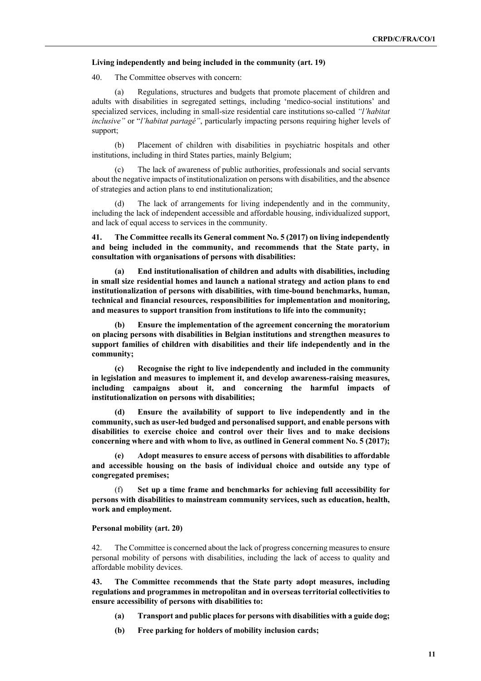#### **Living independently and being included in the community (art. 19)**

40. The Committee observes with concern:

(a) Regulations, structures and budgets that promote placement of children and adults with disabilities in segregated settings, including 'medico-social institutions' and specialized services, including in small-size residential care institutionsso-called *"l'habitat inclusive"* or "*l'habitat partagé"*, particularly impacting persons requiring higher levels of support;

(b) Placement of children with disabilities in psychiatric hospitals and other institutions, including in third States parties, mainly Belgium;

(c) The lack of awareness of public authorities, professionals and social servants about the negative impacts of institutionalization on persons with disabilities, and the absence of strategies and action plans to end institutionalization;

The lack of arrangements for living independently and in the community, including the lack of independent accessible and affordable housing, individualized support, and lack of equal access to services in the community.

**41. The Committee recalls its General comment No. 5 (2017) on living independently and being included in the community, and recommends that the State party, in consultation with organisations of persons with disabilities:**

**(a) End institutionalisation of children and adults with disabilities, including in small size residential homes and launch a national strategy and action plans to end institutionalization of persons with disabilities, with time-bound benchmarks, human, technical and financial resources, responsibilities for implementation and monitoring, and measures to support transition from institutions to life into the community;**

**(b) Ensure the implementation of the agreement concerning the moratorium on placing persons with disabilities in Belgian institutions and strengthen measures to support families of children with disabilities and their life independently and in the community;**

**(c) Recognise the right to live independently and included in the community in legislation and measures to implement it, and develop awareness-raising measures, including campaigns about it, and concerning the harmful impacts of institutionalization on persons with disabilities;** 

**(d) Ensure the availability of support to live independently and in the community, such as user-led budged and personalised support, and enable persons with disabilities to exercise choice and control over their lives and to make decisions concerning where and with whom to live, as outlined in General comment No. 5 (2017);**

**(e) Adopt measures to ensure access of persons with disabilities to affordable and accessible housing on the basis of individual choice and outside any type of congregated premises;**

Set up a time frame and benchmarks for achieving full accessibility for **persons with disabilities to mainstream community services, such as education, health, work and employment.**

#### **Personal mobility (art. 20)**

42. The Committee is concerned about the lack of progress concerning measures to ensure personal mobility of persons with disabilities, including the lack of access to quality and affordable mobility devices.

**43. The Committee recommends that the State party adopt measures, including regulations and programmes in metropolitan and in overseas territorial collectivities to ensure accessibility of persons with disabilities to:**

- **(a) Transport and public places for persons with disabilities with a guide dog;**
- **(b) Free parking for holders of mobility inclusion cards;**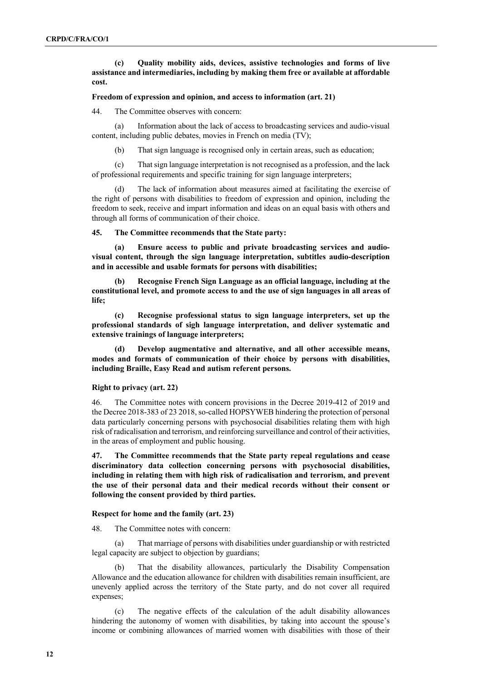**(c) Quality mobility aids, devices, assistive technologies and forms of live assistance and intermediaries, including by making them free or available at affordable cost.**

#### **Freedom of expression and opinion, and access to information (art. 21)**

44. The Committee observes with concern:

(a) Information about the lack of access to broadcasting services and audio-visual content, including public debates, movies in French on media (TV);

(b) That sign language is recognised only in certain areas, such as education;

(c) That sign language interpretation is not recognised as a profession, and the lack of professional requirements and specific training for sign language interpreters;

(d) The lack of information about measures aimed at facilitating the exercise of the right of persons with disabilities to freedom of expression and opinion, including the freedom to seek, receive and impart information and ideas on an equal basis with others and through all forms of communication of their choice.

**45. The Committee recommends that the State party:**

**(a) Ensure access to public and private broadcasting services and audiovisual content, through the sign language interpretation, subtitles audio-description and in accessible and usable formats for persons with disabilities;**

**(b) Recognise French Sign Language as an official language, including at the constitutional level, and promote access to and the use of sign languages in all areas of life;**

**(c) Recognise professional status to sign language interpreters, set up the professional standards of sigh language interpretation, and deliver systematic and extensive trainings of language interpreters;** 

**(d) Develop augmentative and alternative, and all other accessible means, modes and formats of communication of their choice by persons with disabilities, including Braille, Easy Read and autism referent persons.**

#### **Right to privacy (art. 22)**

46. The Committee notes with concern provisions in the Decree 2019-412 of 2019 and the Decree 2018-383 of 23 2018, so-called HOPSYWEB hindering the protection of personal data particularly concerning persons with psychosocial disabilities relating them with high risk of radicalisation and terrorism, and reinforcing surveillance and control of their activities, in the areas of employment and public housing.

**47. The Committee recommends that the State party repeal regulations and cease discriminatory data collection concerning persons with psychosocial disabilities, including in relating them with high risk of radicalisation and terrorism, and prevent the use of their personal data and their medical records without their consent or following the consent provided by third parties.**

#### **Respect for home and the family (art. 23)**

48. The Committee notes with concern:

(a) That marriage of persons with disabilities under guardianship or with restricted legal capacity are subject to objection by guardians;

(b) That the disability allowances, particularly the Disability Compensation Allowance and the education allowance for children with disabilities remain insufficient, are unevenly applied across the territory of the State party, and do not cover all required expenses;

(c) The negative effects of the calculation of the adult disability allowances hindering the autonomy of women with disabilities, by taking into account the spouse's income or combining allowances of married women with disabilities with those of their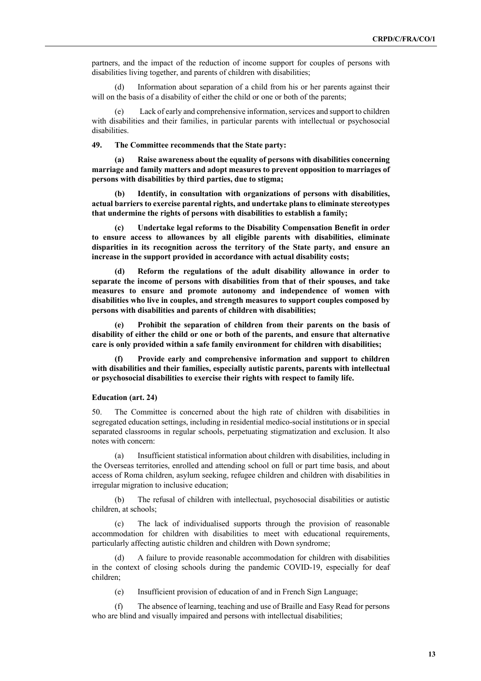partners, and the impact of the reduction of income support for couples of persons with disabilities living together, and parents of children with disabilities;

(d) Information about separation of a child from his or her parents against their will on the basis of a disability of either the child or one or both of the parents;

(e) Lack of early and comprehensive information, services and support to children with disabilities and their families, in particular parents with intellectual or psychosocial disabilities.

**49. The Committee recommends that the State party:**

**(a) Raise awareness about the equality of persons with disabilities concerning marriage and family matters and adopt measures to prevent opposition to marriages of persons with disabilities by third parties, due to stigma;**

**(b) Identify, in consultation with organizations of persons with disabilities, actual barriers to exercise parental rights, and undertake plans to eliminate stereotypes that undermine the rights of persons with disabilities to establish a family;** 

**(c) Undertake legal reforms to the Disability Compensation Benefit in order to ensure access to allowances by all eligible parents with disabilities, eliminate disparities in its recognition across the territory of the State party, and ensure an increase in the support provided in accordance with actual disability costs;**

**(d) Reform the regulations of the adult disability allowance in order to separate the income of persons with disabilities from that of their spouses, and take measures to ensure and promote autonomy and independence of women with disabilities who live in couples, and strength measures to support couples composed by persons with disabilities and parents of children with disabilities;**

**(e) Prohibit the separation of children from their parents on the basis of disability of either the child or one or both of the parents, and ensure that alternative care is only provided within a safe family environment for children with disabilities;**

**(f) Provide early and comprehensive information and support to children with disabilities and their families, especially autistic parents, parents with intellectual or psychosocial disabilities to exercise their rights with respect to family life.**

#### **Education (art. 24)**

50. The Committee is concerned about the high rate of children with disabilities in segregated education settings, including in residential medico-social institutions or in special separated classrooms in regular schools, perpetuating stigmatization and exclusion. It also notes with concern:

(a) Insufficient statistical information about children with disabilities, including in the Overseas territories, enrolled and attending school on full or part time basis, and about access of Roma children, asylum seeking, refugee children and children with disabilities in irregular migration to inclusive education;

(b) The refusal of children with intellectual, psychosocial disabilities or autistic children, at schools;

The lack of individualised supports through the provision of reasonable accommodation for children with disabilities to meet with educational requirements, particularly affecting autistic children and children with Down syndrome;

A failure to provide reasonable accommodation for children with disabilities in the context of closing schools during the pandemic COVID-19, especially for deaf children;

(e) Insufficient provision of education of and in French Sign Language;

(f) The absence of learning, teaching and use of Braille and Easy Read for persons who are blind and visually impaired and persons with intellectual disabilities;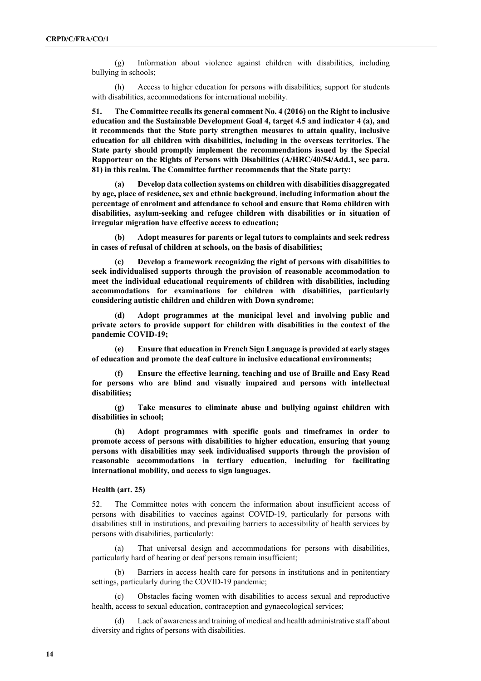(g) Information about violence against children with disabilities, including bullying in schools;

(h) Access to higher education for persons with disabilities; support for students with disabilities, accommodations for international mobility.

**51. The Committee recalls its general comment No. 4 (2016) on the Right to inclusive education and the Sustainable Development Goal 4, target 4.5 and indicator 4 (a), and it recommends that the State party strengthen measures to attain quality, inclusive education for all children with disabilities, including in the overseas territories. The State party should promptly implement the recommendations issued by the Special Rapporteur on the Rights of Persons with Disabilities (A/HRC/40/54/Add.1, see para. 81) in this realm. The Committee further recommends that the State party:** 

**(a) Develop data collection systems on children with disabilities disaggregated by age, place of residence, sex and ethnic background, including information about the percentage of enrolment and attendance to school and ensure that Roma children with disabilities, asylum-seeking and refugee children with disabilities or in situation of irregular migration have effective access to education;**

**(b) Adopt measures for parents or legal tutors to complaints and seek redress in cases of refusal of children at schools, on the basis of disabilities;**

**(c) Develop a framework recognizing the right of persons with disabilities to seek individualised supports through the provision of reasonable accommodation to meet the individual educational requirements of children with disabilities, including accommodations for examinations for children with disabilities, particularly considering autistic children and children with Down syndrome;** 

**(d) Adopt programmes at the municipal level and involving public and private actors to provide support for children with disabilities in the context of the pandemic COVID-19;**

**(e) Ensure that education in French Sign Language is provided at early stages of education and promote the deaf culture in inclusive educational environments;**

**(f) Ensure the effective learning, teaching and use of Braille and Easy Read for persons who are blind and visually impaired and persons with intellectual disabilities;**

**(g) Take measures to eliminate abuse and bullying against children with disabilities in school;** 

**(h) Adopt programmes with specific goals and timeframes in order to promote access of persons with disabilities to higher education, ensuring that young persons with disabilities may seek individualised supports through the provision of reasonable accommodations in tertiary education, including for facilitating international mobility, and access to sign languages.** 

#### **Health (art. 25)**

52. The Committee notes with concern the information about insufficient access of persons with disabilities to vaccines against COVID-19, particularly for persons with disabilities still in institutions, and prevailing barriers to accessibility of health services by persons with disabilities, particularly:

(a) That universal design and accommodations for persons with disabilities, particularly hard of hearing or deaf persons remain insufficient;

(b) Barriers in access health care for persons in institutions and in penitentiary settings, particularly during the COVID-19 pandemic;

Obstacles facing women with disabilities to access sexual and reproductive health, access to sexual education, contraception and gynaecological services;

(d) Lack of awareness and training of medical and health administrative staff about diversity and rights of persons with disabilities.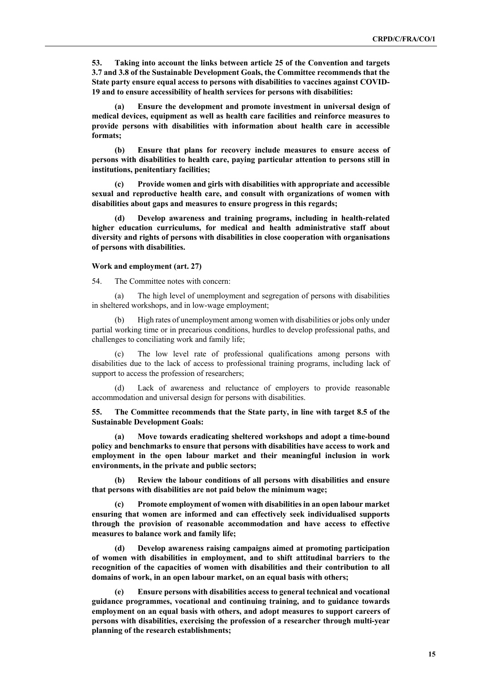**53. Taking into account the links between article 25 of the Convention and targets 3.7 and 3.8 of the Sustainable Development Goals, the Committee recommends that the State party ensure equal access to persons with disabilities to vaccines against COVID-19 and to ensure accessibility of health services for persons with disabilities:**

**(a) Ensure the development and promote investment in universal design of medical devices, equipment as well as health care facilities and reinforce measures to provide persons with disabilities with information about health care in accessible formats;**

**(b) Ensure that plans for recovery include measures to ensure access of persons with disabilities to health care, paying particular attention to persons still in institutions, penitentiary facilities;**

**(c) Provide women and girls with disabilities with appropriate and accessible sexual and reproductive health care, and consult with organizations of women with disabilities about gaps and measures to ensure progress in this regards;**

**(d) Develop awareness and training programs, including in health-related higher education curriculums, for medical and health administrative staff about diversity and rights of persons with disabilities in close cooperation with organisations of persons with disabilities.**

#### **Work and employment (art. 27)**

54. The Committee notes with concern:

(a) The high level of unemployment and segregation of persons with disabilities in sheltered workshops, and in low-wage employment;

High rates of unemployment among women with disabilities or jobs only under partial working time or in precarious conditions, hurdles to develop professional paths, and challenges to conciliating work and family life;

(c) The low level rate of professional qualifications among persons with disabilities due to the lack of access to professional training programs, including lack of support to access the profession of researchers;

(d) Lack of awareness and reluctance of employers to provide reasonable accommodation and universal design for persons with disabilities.

**55. The Committee recommends that the State party, in line with target 8.5 of the Sustainable Development Goals:** 

**(a) Move towards eradicating sheltered workshops and adopt a time-bound policy and benchmarks to ensure that persons with disabilities have access to work and employment in the open labour market and their meaningful inclusion in work environments, in the private and public sectors;**

**(b) Review the labour conditions of all persons with disabilities and ensure that persons with disabilities are not paid below the minimum wage;**

**(c) Promote employment of women with disabilities in an open labour market ensuring that women are informed and can effectively seek individualised supports through the provision of reasonable accommodation and have access to effective measures to balance work and family life;**

**(d) Develop awareness raising campaigns aimed at promoting participation of women with disabilities in employment, and to shift attitudinal barriers to the recognition of the capacities of women with disabilities and their contribution to all domains of work, in an open labour market, on an equal basis with others;**

**(e) Ensure persons with disabilities access to general technical and vocational guidance programmes, vocational and continuing training, and to guidance towards employment on an equal basis with others, and adopt measures to support careers of persons with disabilities, exercising the profession of a researcher through multi-year planning of the research establishments;**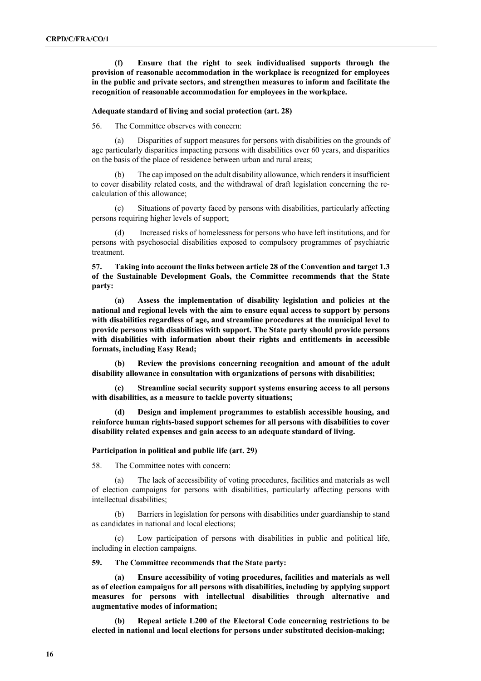**(f) Ensure that the right to seek individualised supports through the provision of reasonable accommodation in the workplace is recognized for employees in the public and private sectors, and strengthen measures to inform and facilitate the recognition of reasonable accommodation for employees in the workplace.** 

#### **Adequate standard of living and social protection (art. 28)**

56. The Committee observes with concern:

(a) Disparities of support measures for persons with disabilities on the grounds of age particularly disparities impacting persons with disabilities over 60 years, and disparities on the basis of the place of residence between urban and rural areas;

The cap imposed on the adult disability allowance, which renders it insufficient to cover disability related costs, and the withdrawal of draft legislation concerning the recalculation of this allowance;

(c) Situations of poverty faced by persons with disabilities, particularly affecting persons requiring higher levels of support;

(d) Increased risks of homelessness for persons who have left institutions, and for persons with psychosocial disabilities exposed to compulsory programmes of psychiatric treatment.

**57. Taking into account the links between article 28 of the Convention and target 1.3 of the Sustainable Development Goals, the Committee recommends that the State party:**

**(a) Assess the implementation of disability legislation and policies at the national and regional levels with the aim to ensure equal access to support by persons with disabilities regardless of age, and streamline procedures at the municipal level to provide persons with disabilities with support. The State party should provide persons with disabilities with information about their rights and entitlements in accessible formats, including Easy Read;**

**(b) Review the provisions concerning recognition and amount of the adult disability allowance in consultation with organizations of persons with disabilities;** 

**(c) Streamline social security support systems ensuring access to all persons with disabilities, as a measure to tackle poverty situations;** 

**(d) Design and implement programmes to establish accessible housing, and reinforce human rights-based support schemes for all persons with disabilities to cover disability related expenses and gain access to an adequate standard of living.** 

#### **Participation in political and public life (art. 29)**

58. The Committee notes with concern:

(a) The lack of accessibility of voting procedures, facilities and materials as well of election campaigns for persons with disabilities, particularly affecting persons with intellectual disabilities;

(b) Barriers in legislation for persons with disabilities under guardianship to stand as candidates in national and local elections;

(c) Low participation of persons with disabilities in public and political life, including in election campaigns.

#### **59. The Committee recommends that the State party:**

**(a) Ensure accessibility of voting procedures, facilities and materials as well as of election campaigns for all persons with disabilities, including by applying support measures for persons with intellectual disabilities through alternative and augmentative modes of information;**

**(b) Repeal article L200 of the Electoral Code concerning restrictions to be elected in national and local elections for persons under substituted decision-making;**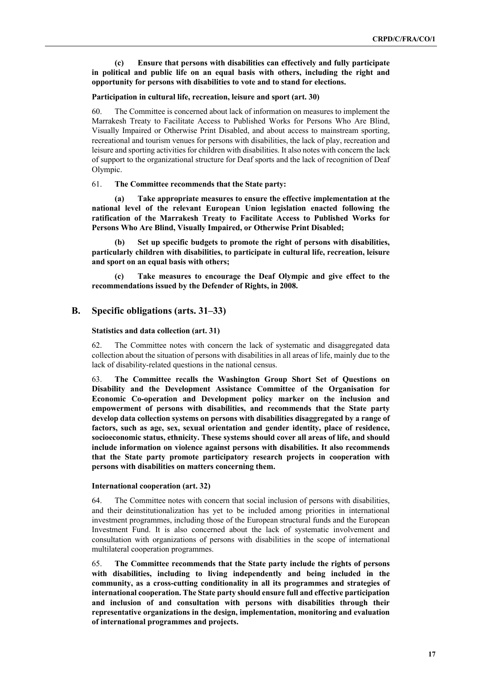#### **(c) Ensure that persons with disabilities can effectively and fully participate in political and public life on an equal basis with others, including the right and opportunity for persons with disabilities to vote and to stand for elections.**

#### **Participation in cultural life, recreation, leisure and sport (art. 30)**

60. The Committee is concerned about lack of information on measures to implement the Marrakesh Treaty to Facilitate Access to Published Works for Persons Who Are Blind, Visually Impaired or Otherwise Print Disabled, and about access to mainstream sporting, recreational and tourism venues for persons with disabilities, the lack of play, recreation and leisure and sporting activities for children with disabilities. It also notes with concern the lack of support to the organizational structure for Deaf sports and the lack of recognition of Deaf Olympic.

61. **The Committee recommends that the State party:**

**(a) Take appropriate measures to ensure the effective implementation at the national level of the relevant European Union legislation enacted following the ratification of the Marrakesh Treaty to Facilitate Access to Published Works for Persons Who Are Blind, Visually Impaired, or Otherwise Print Disabled;**

**(b) Set up specific budgets to promote the right of persons with disabilities, particularly children with disabilities, to participate in cultural life, recreation, leisure and sport on an equal basis with others;**

**(c) Take measures to encourage the Deaf Olympic and give effect to the recommendations issued by the Defender of Rights, in 2008.** 

### **B. Specific obligations (arts. 31–33)**

#### **Statistics and data collection (art. 31)**

62. The Committee notes with concern the lack of systematic and disaggregated data collection about the situation of persons with disabilities in all areas of life, mainly due to the lack of disability-related questions in the national census.

63. **The Committee recalls the Washington Group Short Set of Questions on Disability and the Development Assistance Committee of the Organisation for Economic Co-operation and Development policy marker on the inclusion and empowerment of persons with disabilities, and recommends that the State party develop data collection systems on persons with disabilities disaggregated by a range of factors, such as age, sex, sexual orientation and gender identity, place of residence, socioeconomic status, ethnicity. These systems should cover all areas of life, and should include information on violence against persons with disabilities. It also recommends that the State party promote participatory research projects in cooperation with persons with disabilities on matters concerning them.** 

#### **International cooperation (art. 32)**

64. The Committee notes with concern that social inclusion of persons with disabilities, and their deinstitutionalization has yet to be included among priorities in international investment programmes, including those of the European structural funds and the European Investment Fund. It is also concerned about the lack of systematic involvement and consultation with organizations of persons with disabilities in the scope of international multilateral cooperation programmes.

65. **The Committee recommends that the State party include the rights of persons with disabilities, including to living independently and being included in the community, as a cross-cutting conditionality in all its programmes and strategies of international cooperation. The State party should ensure full and effective participation and inclusion of and consultation with persons with disabilities through their representative organizations in the design, implementation, monitoring and evaluation of international programmes and projects.**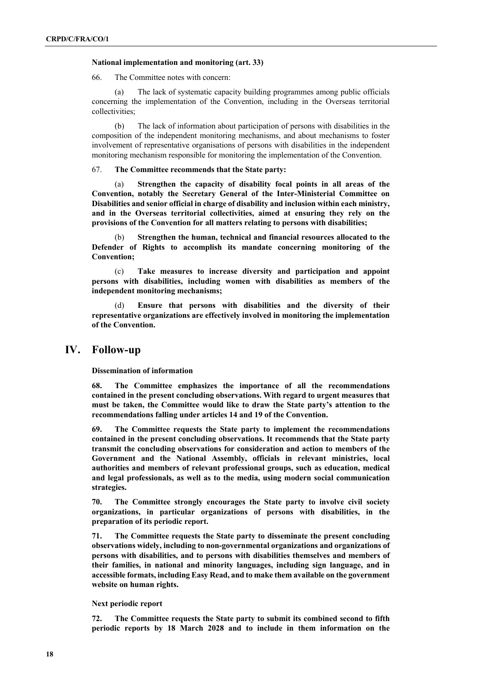#### **National implementation and monitoring (art. 33)**

66. The Committee notes with concern:

(a) The lack of systematic capacity building programmes among public officials concerning the implementation of the Convention, including in the Overseas territorial collectivities;

(b) The lack of information about participation of persons with disabilities in the composition of the independent monitoring mechanisms, and about mechanisms to foster involvement of representative organisations of persons with disabilities in the independent monitoring mechanism responsible for monitoring the implementation of the Convention.

67. **The Committee recommends that the State party:** 

(a) **Strengthen the capacity of disability focal points in all areas of the Convention, notably the Secretary General of the Inter-Ministerial Committee on Disabilities and senior official in charge of disability and inclusion within each ministry, and in the Overseas territorial collectivities, aimed at ensuring they rely on the provisions of the Convention for all matters relating to persons with disabilities;**

(b) **Strengthen the human, technical and financial resources allocated to the Defender of Rights to accomplish its mandate concerning monitoring of the Convention;** 

(c) **Take measures to increase diversity and participation and appoint persons with disabilities, including women with disabilities as members of the independent monitoring mechanisms;**

(d) **Ensure that persons with disabilities and the diversity of their representative organizations are effectively involved in monitoring the implementation of the Convention.** 

### **IV. Follow-up**

**Dissemination of information**

**68. The Committee emphasizes the importance of all the recommendations contained in the present concluding observations. With regard to urgent measures that must be taken, the Committee would like to draw the State party's attention to the recommendations falling under articles 14 and 19 of the Convention.**

**69. The Committee requests the State party to implement the recommendations contained in the present concluding observations. It recommends that the State party transmit the concluding observations for consideration and action to members of the Government and the National Assembly, officials in relevant ministries, local authorities and members of relevant professional groups, such as education, medical and legal professionals, as well as to the media, using modern social communication strategies.** 

**70. The Committee strongly encourages the State party to involve civil society organizations, in particular organizations of persons with disabilities, in the preparation of its periodic report.**

**71. The Committee requests the State party to disseminate the present concluding observations widely, including to non-governmental organizations and organizations of persons with disabilities, and to persons with disabilities themselves and members of their families, in national and minority languages, including sign language, and in accessible formats, including Easy Read, and to make them available on the government website on human rights.**

**Next periodic report**

**72. The Committee requests the State party to submit its combined second to fifth periodic reports by 18 March 2028 and to include in them information on the**